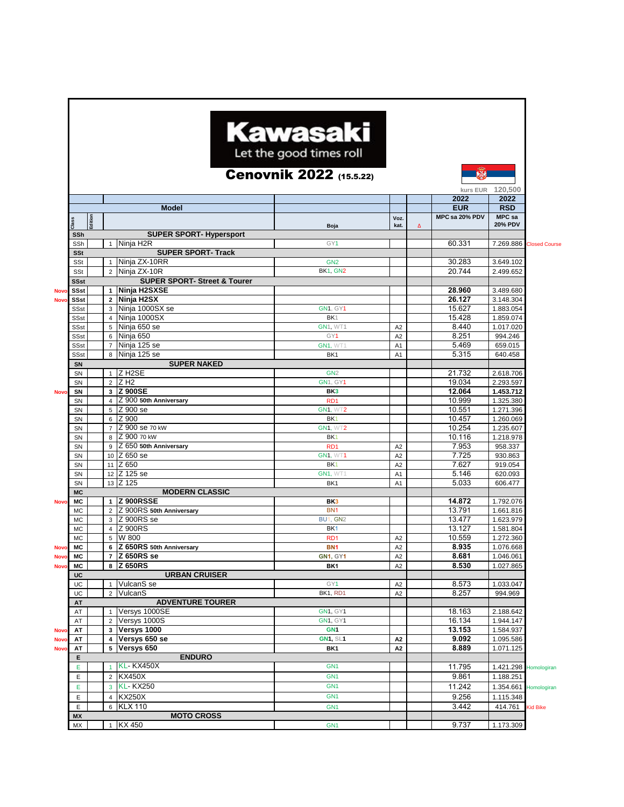|             |                                       |         |                              |                                                         | <b>Kawasaki</b><br>Let the good times roll<br><b>Cenovnik 2022</b> (15.5.22) |                                  |   | 縣                            |                          |                      |
|-------------|---------------------------------------|---------|------------------------------|---------------------------------------------------------|------------------------------------------------------------------------------|----------------------------------|---|------------------------------|--------------------------|----------------------|
|             |                                       |         |                              |                                                         |                                                                              |                                  |   | kurs EUR                     | 120,500                  |                      |
|             |                                       |         |                              |                                                         |                                                                              |                                  |   | 2022                         | 2022                     |                      |
|             |                                       |         |                              | <b>Model</b>                                            |                                                                              |                                  |   | <b>EUR</b><br>MPC sa 20% PDV | <b>RSD</b>               |                      |
|             | Class                                 | Edition |                              |                                                         | Boja                                                                         | Voz.<br>kat.                     | Δ |                              | MPC sa<br><b>20% PDV</b> |                      |
|             | SSh                                   |         |                              | <b>SUPER SPORT-Hypersport</b>                           |                                                                              |                                  |   |                              |                          |                      |
|             | SSh                                   |         |                              | 1   Ninja H2R                                           | GY1                                                                          |                                  |   | 60.331                       | 7.269.886                | <b>Closed Course</b> |
|             | SSt                                   |         |                              | <b>SUPER SPORT- Track</b>                               |                                                                              |                                  |   |                              |                          |                      |
|             | SSt                                   |         |                              | 1 Ninja ZX-10RR                                         | GN <sub>2</sub>                                                              |                                  |   | 30.283                       | 3.649.102                |                      |
|             | SSt<br><b>SSst</b>                    |         | $\overline{2}$               | Ninia ZX-10R<br><b>SUPER SPORT- Street &amp; Tourer</b> | <b>BK1, GN2</b>                                                              |                                  |   | 20.744                       | 2.499.652                |                      |
| <b>Novc</b> | SSst                                  |         |                              | 1 Ninja H2SXSE                                          |                                                                              |                                  |   | 28.960                       | 3.489.680                |                      |
| <b>Novo</b> | <b>SSst</b>                           |         |                              | 2 Ninja H2SX                                            |                                                                              |                                  |   | 26.127                       | 3.148.304                |                      |
|             | <b>SSst</b>                           |         | 3                            | Ninja 1000SX se                                         | <b>GN1. GY1</b>                                                              |                                  |   | 15.627                       | 1.883.054                |                      |
|             | <b>SSst</b>                           |         | $\overline{4}$               | Ninja 1000SX                                            | BK <sub>1</sub>                                                              |                                  |   | 15.428                       | 1.859.074                |                      |
|             | <b>SSst</b>                           |         | 5                            | Ninja 650 se                                            | <b>GN1, WT1</b>                                                              | A <sub>2</sub>                   |   | 8.440                        | 1.017.020                |                      |
|             | <b>SSst</b>                           |         | 6                            | Ninja 650                                               | GY1                                                                          | A <sub>2</sub>                   |   | 8.251                        | 994.246                  |                      |
|             | <b>SSst</b>                           |         | $\overline{7}$               | Ninja 125 se                                            | <b>GN1, WT1</b>                                                              | A <sub>1</sub>                   |   | 5.469                        | 659.015                  |                      |
|             | <b>SSst</b>                           |         | 8                            | Ninja 125 se                                            | BK1                                                                          | A <sub>1</sub>                   |   | 5.315                        | 640.458                  |                      |
|             | SN<br>SN                              |         |                              | <b>SUPER NAKED</b><br>$1$ Z H2SE                        | GN <sub>2</sub>                                                              |                                  |   | 21.732                       | 2.618.706                |                      |
|             | <b>SN</b>                             |         | $\overline{2}$               | Z H <sub>2</sub>                                        | GN1, GY1                                                                     |                                  |   | 19.034                       | 2.293.597                |                      |
| <b>Novc</b> | SN                                    |         | 3                            | <b>Z 900SE</b>                                          | BK3                                                                          |                                  |   | 12.064                       | 1.453.712                |                      |
|             | SN                                    |         | $\overline{4}$               | Z 900 50th Anniversary                                  | RD <sub>1</sub>                                                              |                                  |   | 10.999                       | 1.325.380                |                      |
|             | SN                                    |         | 5                            | Z 900 se                                                | <b>GN1, WT2</b>                                                              |                                  |   | 10.551                       | 1.271.396                |                      |
|             | SN                                    |         | 6                            | Z 900                                                   | BK <sub>1</sub>                                                              |                                  |   | 10.457                       | 1.260.069                |                      |
|             | SN                                    |         | $\overline{7}$               | Z 900 se 70 kW                                          | <b>GN1, WT2</b>                                                              |                                  |   | 10.254                       | 1.235.607                |                      |
|             | SN                                    |         | 8                            | Z 900 70 kW                                             | BK <sub>1</sub>                                                              |                                  |   | 10.116                       | 1.218.978                |                      |
|             | SN                                    |         | 9                            | Z 650 50th Anniversary                                  | R <sub>D</sub> 1                                                             | A <sub>2</sub>                   |   | 7.953                        | 958.337                  |                      |
|             | SN                                    |         |                              | 10 Z 650 se                                             | <b>GN1, WT1</b>                                                              | A <sub>2</sub>                   |   | 7.725                        | 930.863                  |                      |
|             | SN<br>SN                              |         |                              | 11 Z 650<br>12 Z 125 se                                 | BK <sub>1</sub><br>GN1, WT1                                                  | A <sub>2</sub><br>A <sub>1</sub> |   | 7.627<br>5.146               | 919.054<br>620.093       |                      |
|             | SN                                    |         |                              | 13 Z 125                                                | BK1                                                                          | A <sub>1</sub>                   |   | 5.033                        | 606.477                  |                      |
|             | <b>MC</b>                             |         |                              | <b>MODERN CLASSIC</b>                                   |                                                                              |                                  |   |                              |                          |                      |
| <b>Novo</b> | МC                                    |         |                              | 1 Z 900RSSE                                             | BK3                                                                          |                                  |   | 14.872                       | 1.792.076                |                      |
|             | <b>MC</b>                             |         | $\overline{2}$               | Z 900RS 50th Anniversary                                | BN <sub>1</sub>                                                              |                                  |   | 13.791                       | 1.661.816                |                      |
|             | <b>MC</b>                             |         | 3                            | Z 900RS se                                              | <b>BU1, GN2</b>                                                              |                                  |   | 13.477                       | 1.623.979                |                      |
|             | <b>MC</b>                             |         | $\overline{4}$               | <b>Z</b> 900RS                                          | BK <sub>1</sub>                                                              |                                  |   | 13.127                       | 1.581.804                |                      |
|             | <b>MC</b>                             |         | 5                            | W 800                                                   | R <sub>D</sub> 1                                                             | A <sub>2</sub>                   |   | 10.559                       | 1.272.360                |                      |
| <b>Novo</b> | МC                                    |         |                              | 6 Z 650RS 50th Anniversary                              | BN <sub>1</sub>                                                              | A <sub>2</sub>                   |   | 8.935                        | 1.076.668                |                      |
| <b>Novo</b> | <b>MC</b>                             |         |                              | 7 Z 650RS se<br>8 Z 650RS                               | <b>GN1, GY1</b>                                                              | A <sub>2</sub>                   |   | 8.681<br>8.530               | 1.046.061                |                      |
| <b>Novo</b> | MC<br>UC                              |         |                              | <b>URBAN CRUISER</b>                                    | BK1                                                                          | A2                               |   |                              | 1.027.865                |                      |
|             | UC                                    |         |                              | 1 VulcanS se                                            | GY1                                                                          | A2                               |   | 8.573                        | 1.033.047                |                      |
|             | UC                                    |         | $\overline{2}$               | VulcanS                                                 | BK1, RD1                                                                     | A2                               |   | 8.257                        | 994.969                  |                      |
|             | AT                                    |         |                              | <b>ADVENTURE TOURER</b>                                 |                                                                              |                                  |   |                              |                          |                      |
|             | AT                                    |         | $\mathbf{1}$                 | Versys 1000SE                                           | <b>GN1, GY1</b>                                                              |                                  |   | 18.163                       | 2.188.642                |                      |
|             | AT                                    |         | $\overline{2}$               | Versys 1000S                                            | <b>GN1, GY1</b>                                                              |                                  |   | 16.134                       | 1.944.147                |                      |
| <b>Nove</b> | AT                                    |         | 3                            | Versys 1000                                             | GN <sub>1</sub>                                                              |                                  |   | 13.153                       | 1.584.937                |                      |
| <b>Nove</b> | AT                                    |         | $\overline{\mathbf{4}}$<br>5 | Versys 650 se<br>Versys 650                             | <b>GN1, SL1</b>                                                              | A2                               |   | 9.092<br>8.889               | 1.095.586                |                      |
| <b>Nove</b> | AT<br>A2<br>BK1<br><b>ENDURO</b><br>Е |         |                              |                                                         |                                                                              |                                  |   |                              | 1.071.125                |                      |
|             | E                                     |         | $\overline{1}$               | <b>KL-KX450X</b>                                        | GN <sub>1</sub>                                                              |                                  |   | 11.795                       | 1.421.298                | Homologiran          |
|             | E                                     |         | $\overline{2}$               | <b>KX450X</b>                                           | GN <sub>1</sub>                                                              |                                  |   | 9.861                        | 1.188.251                |                      |
|             | E                                     |         |                              | 3 KL-KX250                                              | GN <sub>1</sub>                                                              |                                  |   | 11.242                       | 1.354.661                | Homologiran          |
|             | E                                     |         | $\overline{4}$               | <b>KX250X</b>                                           | GN <sub>1</sub>                                                              |                                  |   | 9.256                        | 1.115.348                |                      |
|             | E                                     |         | 6                            | <b>KLX 110</b>                                          | GN <sub>1</sub>                                                              |                                  |   | 3.442                        | 414.761                  | <b>Kid Bike</b>      |
|             | <b>MX</b>                             |         |                              | <b>MOTO CROSS</b>                                       |                                                                              |                                  |   |                              |                          |                      |
|             | MX                                    |         |                              | 1 KX 450                                                | GN <sub>1</sub>                                                              |                                  |   | 9.737                        | 1.173.309                |                      |